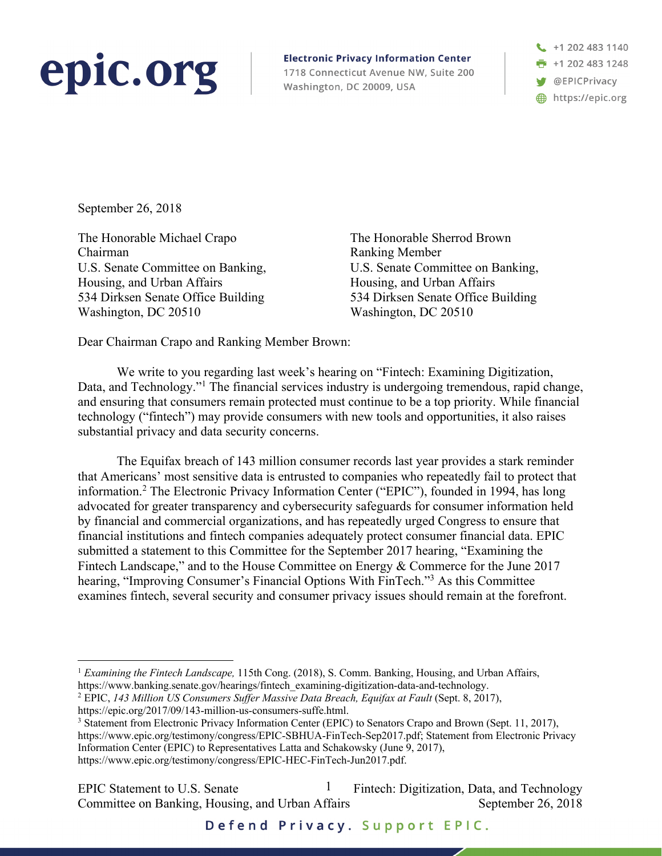## epic.org

**Electronic Privacy Information Center** 1718 Connecticut Avenue NW, Suite 200 Washington, DC 20009, USA



September 26, 2018

The Honorable Michael Crapo Chairman U.S. Senate Committee on Banking, Housing, and Urban Affairs 534 Dirksen Senate Office Building Washington, DC 20510

The Honorable Sherrod Brown Ranking Member U.S. Senate Committee on Banking, Housing, and Urban Affairs 534 Dirksen Senate Office Building Washington, DC 20510

Dear Chairman Crapo and Ranking Member Brown:

We write to you regarding last week's hearing on "Fintech: Examining Digitization, Data, and Technology."<sup>1</sup> The financial services industry is undergoing tremendous, rapid change, and ensuring that consumers remain protected must continue to be a top priority. While financial technology ("fintech") may provide consumers with new tools and opportunities, it also raises substantial privacy and data security concerns.

The Equifax breach of 143 million consumer records last year provides a stark reminder that Americans' most sensitive data is entrusted to companies who repeatedly fail to protect that information.2 The Electronic Privacy Information Center ("EPIC"), founded in 1994, has long advocated for greater transparency and cybersecurity safeguards for consumer information held by financial and commercial organizations, and has repeatedly urged Congress to ensure that financial institutions and fintech companies adequately protect consumer financial data. EPIC submitted a statement to this Committee for the September 2017 hearing, "Examining the Fintech Landscape," and to the House Committee on Energy & Commerce for the June 2017 hearing, "Improving Consumer's Financial Options With FinTech."3 As this Committee examines fintech, several security and consumer privacy issues should remain at the forefront.

https://epic.org/2017/09/143-million-us-consumers-suffe.html.<br><sup>3</sup> Statement from Electronic Privacy Information Center (EPIC) to Senators Crapo and Brown (Sept. 11, 2017),

https://www.epic.org/testimony/congress/EPIC-SBHUA-FinTech-Sep2017.pdf; Statement from Electronic Privacy Information Center (EPIC) to Representatives Latta and Schakowsky (June 9, 2017), https://www.epic.org/testimony/congress/EPIC-HEC-FinTech-Jun2017.pdf.

EPIC Statement to U.S. Senate  $1$  Fintech: Digitization, Data, and Technology Committee on Banking, Housing, and Urban Affairs September 26, 2018 1

Defend Privacy. Support EPIC.

 <sup>1</sup> *Examining the Fintech Landscape,* 115th Cong. (2018), S. Comm. Banking, Housing, and Urban Affairs, https://www.banking.senate.gov/hearings/fintech\_examining-digitization-data-and-technology. 2 EPIC, *143 Million US Consumers Suffer Massive Data Breach, Equifax at Fault* (Sept. 8, 2017),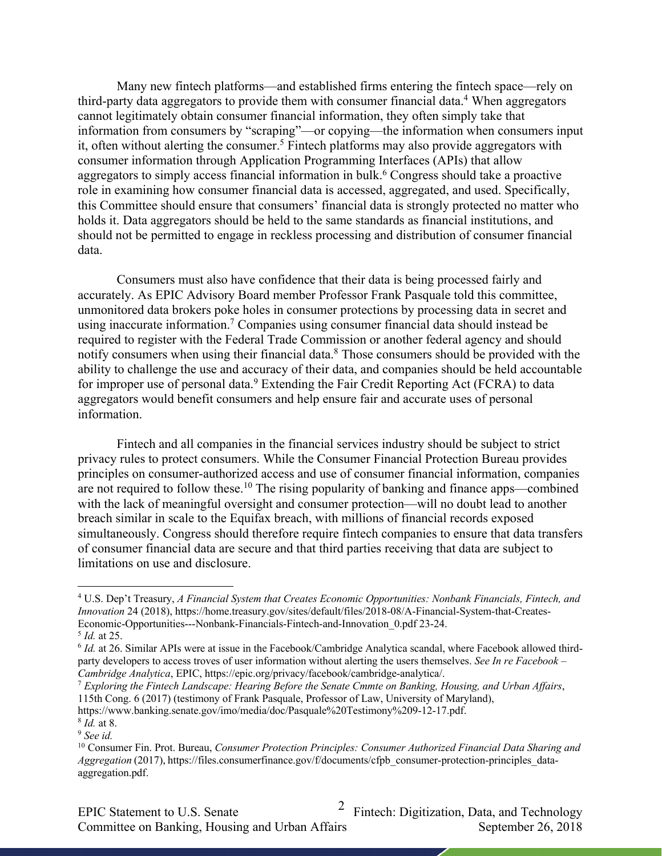Many new fintech platforms—and established firms entering the fintech space—rely on third-party data aggregators to provide them with consumer financial data.<sup>4</sup> When aggregators cannot legitimately obtain consumer financial information, they often simply take that information from consumers by "scraping"—or copying—the information when consumers input it, often without alerting the consumer.<sup>5</sup> Fintech platforms may also provide aggregators with consumer information through Application Programming Interfaces (APIs) that allow aggregators to simply access financial information in bulk.<sup>6</sup> Congress should take a proactive role in examining how consumer financial data is accessed, aggregated, and used. Specifically, this Committee should ensure that consumers' financial data is strongly protected no matter who holds it. Data aggregators should be held to the same standards as financial institutions, and should not be permitted to engage in reckless processing and distribution of consumer financial data.

Consumers must also have confidence that their data is being processed fairly and accurately. As EPIC Advisory Board member Professor Frank Pasquale told this committee, unmonitored data brokers poke holes in consumer protections by processing data in secret and using inaccurate information.<sup>7</sup> Companies using consumer financial data should instead be required to register with the Federal Trade Commission or another federal agency and should notify consumers when using their financial data.8 Those consumers should be provided with the ability to challenge the use and accuracy of their data, and companies should be held accountable for improper use of personal data.<sup>9</sup> Extending the Fair Credit Reporting Act (FCRA) to data aggregators would benefit consumers and help ensure fair and accurate uses of personal information.

Fintech and all companies in the financial services industry should be subject to strict privacy rules to protect consumers. While the Consumer Financial Protection Bureau provides principles on consumer-authorized access and use of consumer financial information, companies are not required to follow these.10 The rising popularity of banking and finance apps—combined with the lack of meaningful oversight and consumer protection—will no doubt lead to another breach similar in scale to the Equifax breach, with millions of financial records exposed simultaneously. Congress should therefore require fintech companies to ensure that data transfers of consumer financial data are secure and that third parties receiving that data are subject to limitations on use and disclosure.

 <sup>4</sup> U.S. Dep't Treasury, *A Financial System that Creates Economic Opportunities: Nonbank Financials, Fintech, and Innovation* 24 (2018), https://home.treasury.gov/sites/default/files/2018-08/A-Financial-System-that-Creates-Economic-Opportunities---Nonbank-Financials-Fintech-and-Innovation\_0.pdf 23-24.

<sup>5</sup> *Id.* at 25.

<sup>6</sup> *Id.* at 26. Similar APIs were at issue in the Facebook/Cambridge Analytica scandal, where Facebook allowed thirdparty developers to access troves of user information without alerting the users themselves. *See In re Facebook –*<br>Cambridge Analytica, EPIC, https://epic.org/privacy/facebook/cambridge-analytica/.

<sup>&</sup>lt;sup>7</sup> Exploring the Fintech Landscape: Hearing Before the Senate Cmmte on Banking, Housing, and Urban Affairs, 115th Cong. 6 (2017) (testimony of Frank Pasquale, Professor of Law, University of Maryland),

https://www.banking.senate.gov/imo/media/doc/Pasquale%20Testimony%209-12-17.pdf. <sup>8</sup> *Id.* at 8. 9 *See id.* 

<sup>10</sup> Consumer Fin. Prot. Bureau, *Consumer Protection Principles: Consumer Authorized Financial Data Sharing and Aggregation* (2017), https://files.consumerfinance.gov/f/documents/cfpb\_consumer-protection-principles\_dataaggregation.pdf.